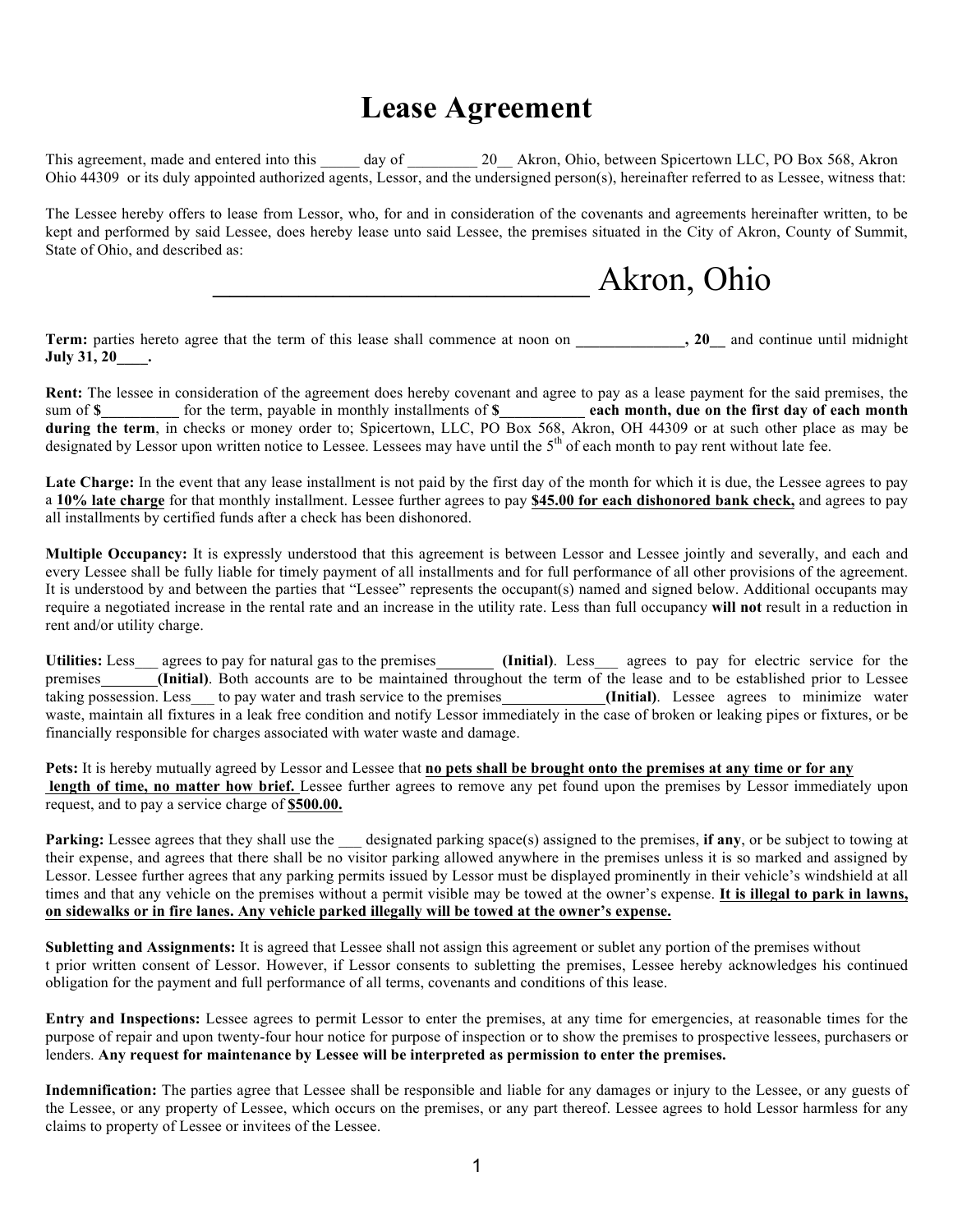## **Lease Agreement**

This agreement, made and entered into this day of 20 Akron, Ohio, between Spicertown LLC, PO Box 568, Akron Ohio 44309 or its duly appointed authorized agents, Lessor, and the undersigned person(s), hereinafter referred to as Lessee, witness that:

The Lessee hereby offers to lease from Lessor, who, for and in consideration of the covenants and agreements hereinafter written, to be kept and performed by said Lessee, does hereby lease unto said Lessee, the premises situated in the City of Akron, County of Summit, State of Ohio, and described as:

# \_\_\_\_\_\_\_\_\_\_\_\_\_\_\_\_\_\_\_\_\_\_ Akron, Ohio

**Term:** parties hereto agree that the term of this lease shall commence at noon on , 20 and continue until midnight **July 31, 20\_\_\_\_.**

**Rent:** The lessee in consideration of the agreement does hereby covenant and agree to pay as a lease payment for the said premises, the sum of **\$\_\_\_\_\_\_\_\_\_\_** for the term, payable in monthly installments of **\$\_\_\_\_\_\_\_\_\_\_\_ each month, due on the first day of each month during the term**, in checks or money order to; Spicertown, LLC, PO Box 568, Akron, OH 44309 or at such other place as may be designated by Lessor upon written notice to Lessee. Lessees may have until the  $5<sup>th</sup>$  of each month to pay rent without late fee.

Late Charge: In the event that any lease installment is not paid by the first day of the month for which it is due, the Lessee agrees to pay a **10% late charge** for that monthly installment. Lessee further agrees to pay **\$45.00 for each dishonored bank check,** and agrees to pay all installments by certified funds after a check has been dishonored.

**Multiple Occupancy:** It is expressly understood that this agreement is between Lessor and Lessee jointly and severally, and each and every Lessee shall be fully liable for timely payment of all installments and for full performance of all other provisions of the agreement. It is understood by and between the parties that "Lessee" represents the occupant(s) named and signed below. Additional occupants may require a negotiated increase in the rental rate and an increase in the utility rate. Less than full occupancy **will not** result in a reduction in rent and/or utility charge.

Utilities: Less agrees to pay for natural gas to the premises **(Initial)**. Less agrees to pay for electric service for the premises **(Initial)**. Both accounts are to be maintained throughout the term of the lease and to be established prior to Lessee taking possession. Less\_\_\_ to pay water and trash service to the premises *Linitial*. Lessee agrees to minimize water waste, maintain all fixtures in a leak free condition and notify Lessor immediately in the case of broken or leaking pipes or fixtures, or be financially responsible for charges associated with water waste and damage.

**Pets:** It is hereby mutually agreed by Lessor and Lessee that **no pets shall be brought onto the premises at any time or for any** length of time, no matter how brief. Lessee further agrees to remove any pet found upon the premises by Lessor immediately upon request, and to pay a service charge of **\$500.00.**

**Parking:** Lessee agrees that they shall use the designated parking space(s) assigned to the premises, **if any**, or be subject to towing at their expense, and agrees that there shall be no visitor parking allowed anywhere in the premises unless it is so marked and assigned by Lessor. Lessee further agrees that any parking permits issued by Lessor must be displayed prominently in their vehicle's windshield at all times and that any vehicle on the premises without a permit visible may be towed at the owner's expense. **It is illegal to park in lawns, on sidewalks or in fire lanes. Any vehicle parked illegally will be towed at the owner's expense.**

**Subletting and Assignments:** It is agreed that Lessee shall not assign this agreement or sublet any portion of the premises without t prior written consent of Lessor. However, if Lessor consents to subletting the premises, Lessee hereby acknowledges his continued obligation for the payment and full performance of all terms, covenants and conditions of this lease.

**Entry and Inspections:** Lessee agrees to permit Lessor to enter the premises, at any time for emergencies, at reasonable times for the purpose of repair and upon twenty-four hour notice for purpose of inspection or to show the premises to prospective lessees, purchasers or lenders. **Any request for maintenance by Lessee will be interpreted as permission to enter the premises.**

**Indemnification:** The parties agree that Lessee shall be responsible and liable for any damages or injury to the Lessee, or any guests of the Lessee, or any property of Lessee, which occurs on the premises, or any part thereof. Lessee agrees to hold Lessor harmless for any claims to property of Lessee or invitees of the Lessee.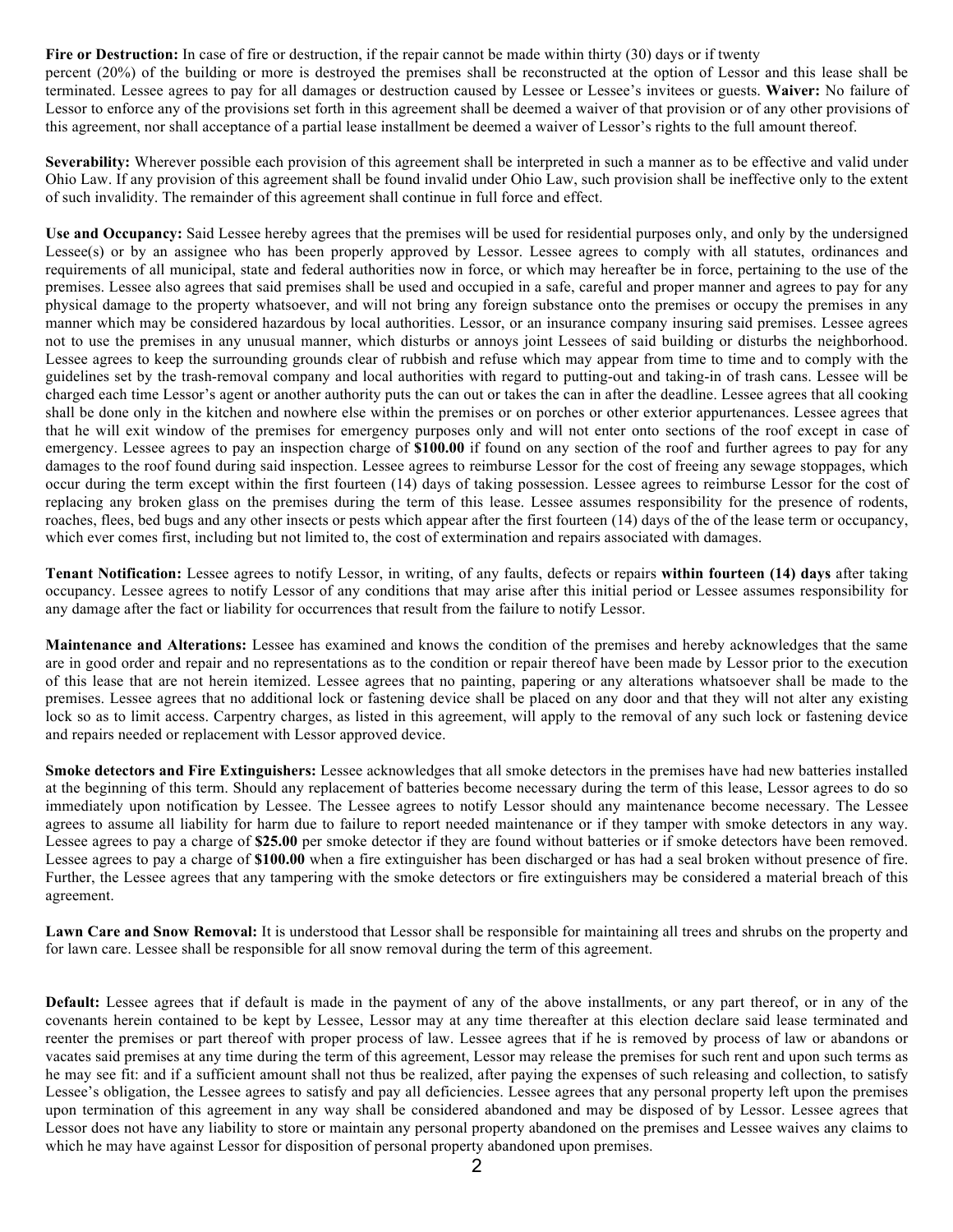Fire or Destruction: In case of fire or destruction, if the repair cannot be made within thirty (30) days or if twenty

percent (20%) of the building or more is destroyed the premises shall be reconstructed at the option of Lessor and this lease shall be terminated. Lessee agrees to pay for all damages or destruction caused by Lessee or Lessee's invitees or guests. **Waiver:** No failure of Lessor to enforce any of the provisions set forth in this agreement shall be deemed a waiver of that provision or of any other provisions of this agreement, nor shall acceptance of a partial lease installment be deemed a waiver of Lessor's rights to the full amount thereof.

Severability: Wherever possible each provision of this agreement shall be interpreted in such a manner as to be effective and valid under Ohio Law. If any provision of this agreement shall be found invalid under Ohio Law, such provision shall be ineffective only to the extent of such invalidity. The remainder of this agreement shall continue in full force and effect.

**Use and Occupancy:** Said Lessee hereby agrees that the premises will be used for residential purposes only, and only by the undersigned Lessee(s) or by an assignee who has been properly approved by Lessor. Lessee agrees to comply with all statutes, ordinances and requirements of all municipal, state and federal authorities now in force, or which may hereafter be in force, pertaining to the use of the premises. Lessee also agrees that said premises shall be used and occupied in a safe, careful and proper manner and agrees to pay for any physical damage to the property whatsoever, and will not bring any foreign substance onto the premises or occupy the premises in any manner which may be considered hazardous by local authorities. Lessor, or an insurance company insuring said premises. Lessee agrees not to use the premises in any unusual manner, which disturbs or annoys joint Lessees of said building or disturbs the neighborhood. Lessee agrees to keep the surrounding grounds clear of rubbish and refuse which may appear from time to time and to comply with the guidelines set by the trash-removal company and local authorities with regard to putting-out and taking-in of trash cans. Lessee will be charged each time Lessor's agent or another authority puts the can out or takes the can in after the deadline. Lessee agrees that all cooking shall be done only in the kitchen and nowhere else within the premises or on porches or other exterior appurtenances. Lessee agrees that that he will exit window of the premises for emergency purposes only and will not enter onto sections of the roof except in case of emergency. Lessee agrees to pay an inspection charge of **\$100.00** if found on any section of the roof and further agrees to pay for any damages to the roof found during said inspection. Lessee agrees to reimburse Lessor for the cost of freeing any sewage stoppages, which occur during the term except within the first fourteen (14) days of taking possession. Lessee agrees to reimburse Lessor for the cost of replacing any broken glass on the premises during the term of this lease. Lessee assumes responsibility for the presence of rodents, roaches, flees, bed bugs and any other insects or pests which appear after the first fourteen (14) days of the of the lease term or occupancy, which ever comes first, including but not limited to, the cost of extermination and repairs associated with damages.

**Tenant Notification:** Lessee agrees to notify Lessor, in writing, of any faults, defects or repairs **within fourteen (14) days** after taking occupancy. Lessee agrees to notify Lessor of any conditions that may arise after this initial period or Lessee assumes responsibility for any damage after the fact or liability for occurrences that result from the failure to notify Lessor.

**Maintenance and Alterations:** Lessee has examined and knows the condition of the premises and hereby acknowledges that the same are in good order and repair and no representations as to the condition or repair thereof have been made by Lessor prior to the execution of this lease that are not herein itemized. Lessee agrees that no painting, papering or any alterations whatsoever shall be made to the premises. Lessee agrees that no additional lock or fastening device shall be placed on any door and that they will not alter any existing lock so as to limit access. Carpentry charges, as listed in this agreement, will apply to the removal of any such lock or fastening device and repairs needed or replacement with Lessor approved device.

**Smoke detectors and Fire Extinguishers:** Lessee acknowledges that all smoke detectors in the premises have had new batteries installed at the beginning of this term. Should any replacement of batteries become necessary during the term of this lease, Lessor agrees to do so immediately upon notification by Lessee. The Lessee agrees to notify Lessor should any maintenance become necessary. The Lessee agrees to assume all liability for harm due to failure to report needed maintenance or if they tamper with smoke detectors in any way. Lessee agrees to pay a charge of **\$25.00** per smoke detector if they are found without batteries or if smoke detectors have been removed. Lessee agrees to pay a charge of **\$100.00** when a fire extinguisher has been discharged or has had a seal broken without presence of fire. Further, the Lessee agrees that any tampering with the smoke detectors or fire extinguishers may be considered a material breach of this agreement.

**Lawn Care and Snow Removal:** It is understood that Lessor shall be responsible for maintaining all trees and shrubs on the property and for lawn care. Lessee shall be responsible for all snow removal during the term of this agreement.

**Default:** Lessee agrees that if default is made in the payment of any of the above installments, or any part thereof, or in any of the covenants herein contained to be kept by Lessee, Lessor may at any time thereafter at this election declare said lease terminated and reenter the premises or part thereof with proper process of law. Lessee agrees that if he is removed by process of law or abandons or vacates said premises at any time during the term of this agreement, Lessor may release the premises for such rent and upon such terms as he may see fit: and if a sufficient amount shall not thus be realized, after paying the expenses of such releasing and collection, to satisfy Lessee's obligation, the Lessee agrees to satisfy and pay all deficiencies. Lessee agrees that any personal property left upon the premises upon termination of this agreement in any way shall be considered abandoned and may be disposed of by Lessor. Lessee agrees that Lessor does not have any liability to store or maintain any personal property abandoned on the premises and Lessee waives any claims to which he may have against Lessor for disposition of personal property abandoned upon premises.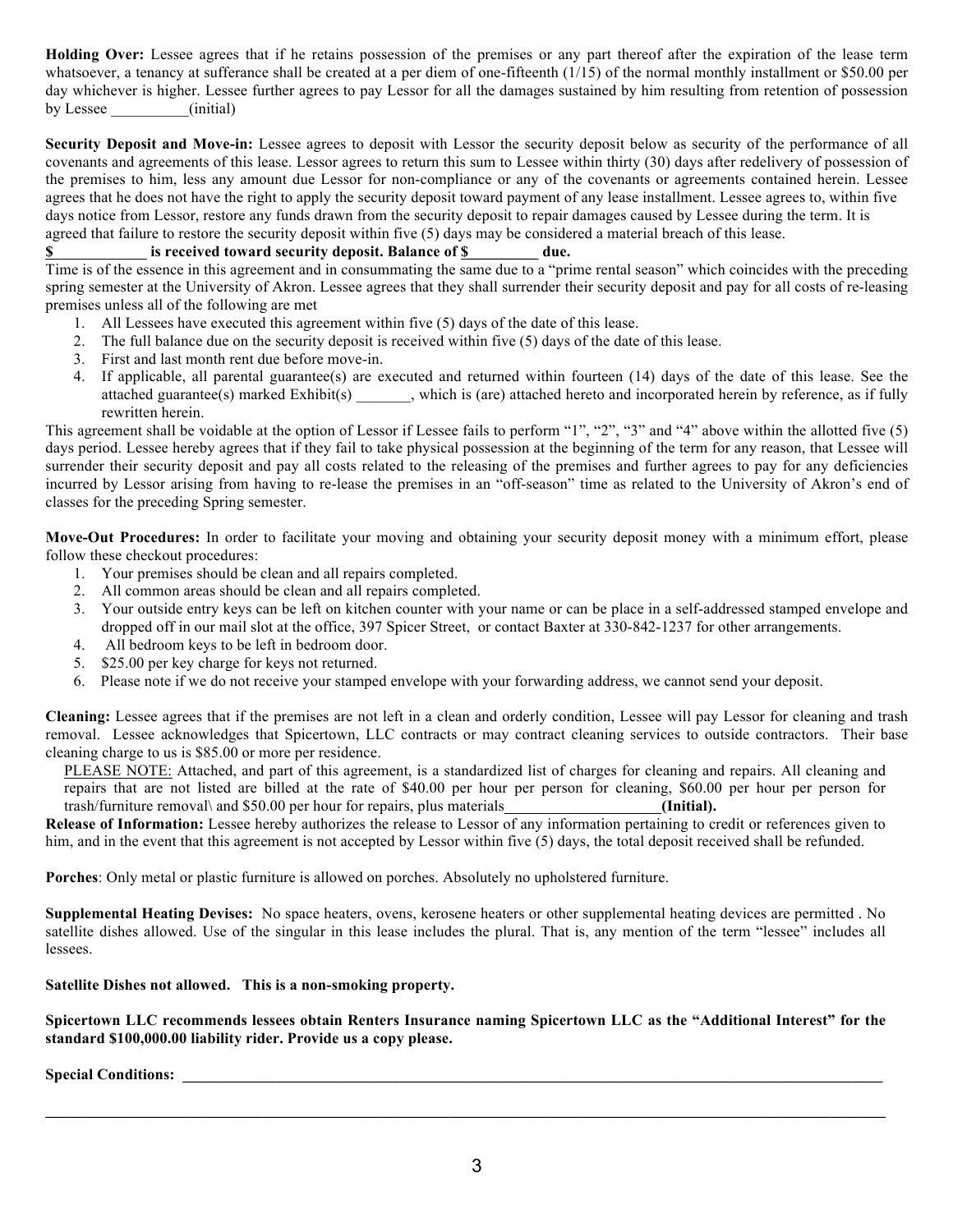**Holding Over:** Lessee agrees that if he retains possession of the premises or any part thereof after the expiration of the lease term whatsoever, a tenancy at sufferance shall be created at a per diem of one-fifteenth (1/15) of the normal monthly installment or \$50.00 per day whichever is higher. Lessee further agrees to pay Lessor for all the damages sustained by him resulting from retention of possession by Lessee (initial)

**Security Deposit and Move-in:** Lessee agrees to deposit with Lessor the security deposit below as security of the performance of all covenants and agreements of this lease. Lessor agrees to return this sum to Lessee within thirty (30) days after redelivery of possession of the premises to him, less any amount due Lessor for non-compliance or any of the covenants or agreements contained herein. Lessee agrees that he does not have the right to apply the security deposit toward payment of any lease installment. Lessee agrees to, within five days notice from Lessor, restore any funds drawn from the security deposit to repair damages caused by Lessee during the term. It is agreed that failure to restore the security deposit within five (5) days may be considered a material breach of this lease.

#### **\$**\_\_\_\_\_\_\_\_\_\_\_\_ **is received toward security deposit. Balance of \$\_\_\_\_\_\_\_\_\_ due.**

Time is of the essence in this agreement and in consummating the same due to a "prime rental season" which coincides with the preceding spring semester at the University of Akron. Lessee agrees that they shall surrender their security deposit and pay for all costs of re-leasing premises unless all of the following are met

- 1. All Lessees have executed this agreement within five (5) days of the date of this lease.
- 2. The full balance due on the security deposit is received within five (5) days of the date of this lease.
- 3. First and last month rent due before move-in.
- 4. If applicable, all parental guarantee(s) are executed and returned within fourteen (14) days of the date of this lease. See the attached guarantee(s) marked Exhibit(s) which is (are) attached hereto and incorporated herein by reference, as if fully rewritten herein.

This agreement shall be voidable at the option of Lessor if Lessee fails to perform "1", "2", "3" and "4" above within the allotted five (5) days period. Lessee hereby agrees that if they fail to take physical possession at the beginning of the term for any reason, that Lessee will surrender their security deposit and pay all costs related to the releasing of the premises and further agrees to pay for any deficiencies incurred by Lessor arising from having to re-lease the premises in an "off-season" time as related to the University of Akron's end of classes for the preceding Spring semester.

**Move-Out Procedures:** In order to facilitate your moving and obtaining your security deposit money with a minimum effort, please follow these checkout procedures:

- 1. Your premises should be clean and all repairs completed.
- 2. All common areas should be clean and all repairs completed.
- 3. Your outside entry keys can be left on kitchen counter with your name or can be place in a self-addressed stamped envelope and dropped off in our mail slot at the office, 397 Spicer Street, or contact Baxter at 330-842-1237 for other arrangements.
- 4. All bedroom keys to be left in bedroom door.
- 5. \$25.00 per key charge for keys not returned.
- 6. Please note if we do not receive your stamped envelope with your forwarding address, we cannot send your deposit.

**Cleaning:** Lessee agrees that if the premises are not left in a clean and orderly condition, Lessee will pay Lessor for cleaning and trash removal. Lessee acknowledges that Spicertown, LLC contracts or may contract cleaning services to outside contractors. Their base cleaning charge to us is \$85.00 or more per residence.

PLEASE NOTE: Attached, and part of this agreement, is a standardized list of charges for cleaning and repairs. All cleaning and repairs that are not listed are billed at the rate of \$40.00 per hour per person for cleaning, \$60.00 per hour per person for trash/furniture removal\ and \$50.00 per hour for repairs, plus materials **(Initial).**

**Release of Information:** Lessee hereby authorizes the release to Lessor of any information pertaining to credit or references given to him, and in the event that this agreement is not accepted by Lessor within five (5) days, the total deposit received shall be refunded.

**Porches**: Only metal or plastic furniture is allowed on porches. Absolutely no upholstered furniture.

**Supplemental Heating Devises:** No space heaters, ovens, kerosene heaters or other supplemental heating devices are permitted . No satellite dishes allowed. Use of the singular in this lease includes the plural. That is, any mention of the term "lessee" includes all lessees.

**Satellite Dishes not allowed. This is a non-smoking property.**

**Spicertown LLC recommends lessees obtain Renters Insurance naming Spicertown LLC as the "Additional Interest" for the standard \$100,000.00 liability rider. Provide us a copy please.**

#### **Special Conditions:**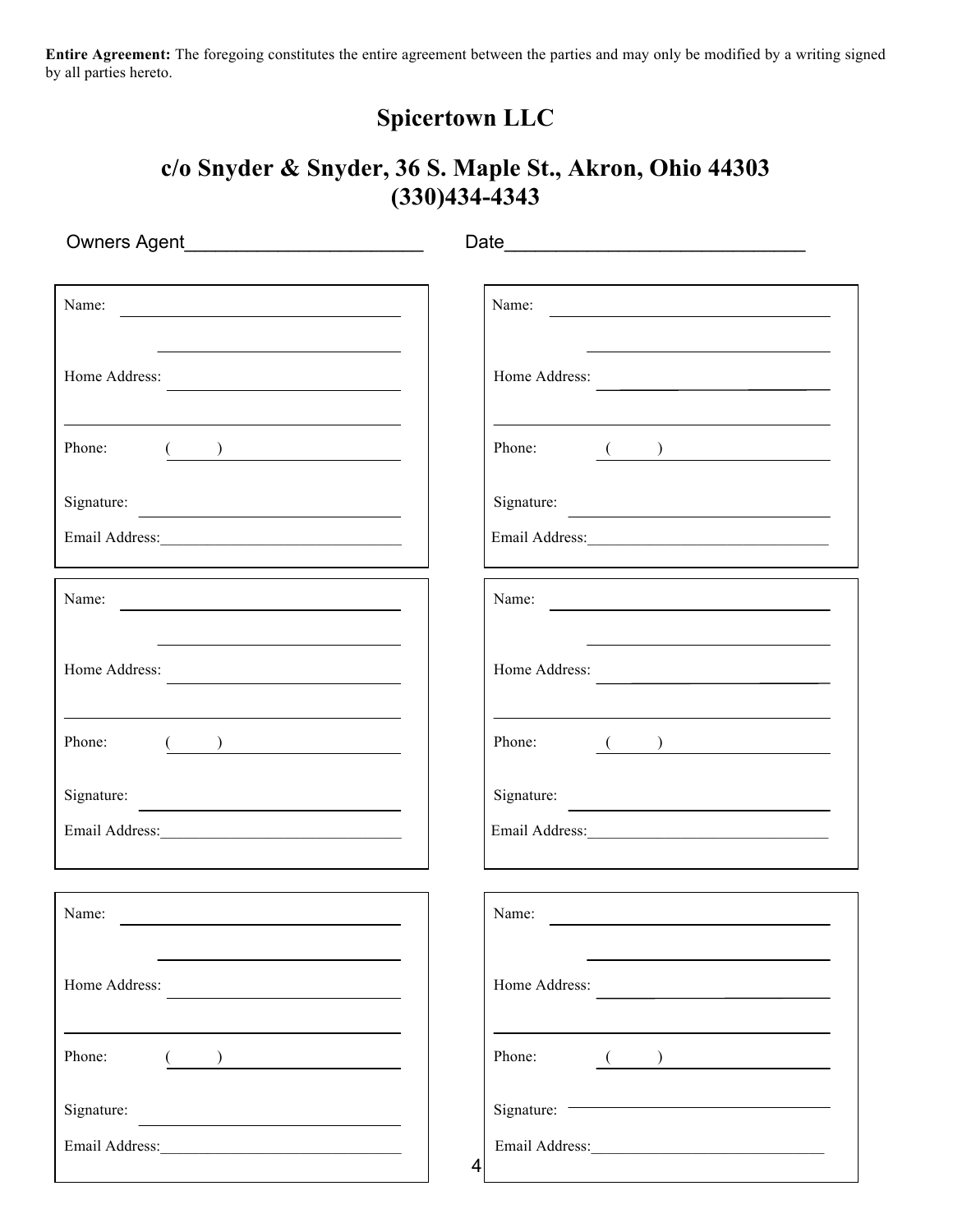**Entire Agreement:** The foregoing constitutes the entire agreement between the parties and may only be modified by a writing signed by all parties hereto.

## **Spicertown LLC**

### **c/o Snyder & Snyder, 36 S. Maple St., Akron, Ohio 44303 (330)434-4343**

| Name: $\frac{1}{\sqrt{1-\frac{1}{2}}\sqrt{1-\frac{1}{2}}\sqrt{1-\frac{1}{2}}\sqrt{1-\frac{1}{2}}\sqrt{1-\frac{1}{2}}\sqrt{1-\frac{1}{2}}\sqrt{1-\frac{1}{2}}\sqrt{1-\frac{1}{2}}\sqrt{1-\frac{1}{2}}\sqrt{1-\frac{1}{2}}\sqrt{1-\frac{1}{2}}\sqrt{1-\frac{1}{2}}\sqrt{1-\frac{1}{2}}\sqrt{1-\frac{1}{2}}\sqrt{1-\frac{1}{2}}\sqrt{1-\frac{1}{2}}\sqrt{1-\frac{1}{2}}\sqrt{1-\frac{1}{2}}\sqrt{1-\frac{1}{2}}$ | Name:                                                                                                                                                                                                                                |
|---------------------------------------------------------------------------------------------------------------------------------------------------------------------------------------------------------------------------------------------------------------------------------------------------------------------------------------------------------------------------------------------------------------|--------------------------------------------------------------------------------------------------------------------------------------------------------------------------------------------------------------------------------------|
| Home Address:                                                                                                                                                                                                                                                                                                                                                                                                 | Home Address:                                                                                                                                                                                                                        |
| Phone:<br>$\overline{(\hspace{.1cm})\hspace{.1cm}}$                                                                                                                                                                                                                                                                                                                                                           | Phone: $\qquad \qquad \qquad$ ( )                                                                                                                                                                                                    |
| Signature:                                                                                                                                                                                                                                                                                                                                                                                                    | Signature:                                                                                                                                                                                                                           |
|                                                                                                                                                                                                                                                                                                                                                                                                               |                                                                                                                                                                                                                                      |
| Name: $\overline{\phantom{a}}$<br><u> 1980 - Andrea Andrew Maria (b. 1980)</u>                                                                                                                                                                                                                                                                                                                                | Name:                                                                                                                                                                                                                                |
| Home Address:<br><u> 1990 - Johann Barbara, martin amerikan personal (</u>                                                                                                                                                                                                                                                                                                                                    | Home Address:<br>the control of the control of the control of the control of the control of                                                                                                                                          |
| Phone:<br>$\begin{array}{ c c c c }\hline \rule{0pt}{1ex}\quad \quad & \quad \quad & \quad \quad & \quad \quad & \quad \quad \\ \hline \rule{0pt}{1ex}\quad \quad & \quad \quad & \quad \quad & \quad \quad & \quad \quad \\ \hline \end{array}$                                                                                                                                                              | Phone: $\qquad \qquad \qquad$ ( )                                                                                                                                                                                                    |
| Signature:                                                                                                                                                                                                                                                                                                                                                                                                    | Signature:                                                                                                                                                                                                                           |
|                                                                                                                                                                                                                                                                                                                                                                                                               |                                                                                                                                                                                                                                      |
| the control of the control of the control of the control of the control of the control of<br>Name:                                                                                                                                                                                                                                                                                                            | Name:                                                                                                                                                                                                                                |
| Home Address:<br><u> 1980 - Andrea State Barbara, político e a f</u>                                                                                                                                                                                                                                                                                                                                          | Home Address:                                                                                                                                                                                                                        |
| Phone:<br>$\begin{pmatrix} 1 & 1 \\ 1 & 1 \end{pmatrix}$                                                                                                                                                                                                                                                                                                                                                      | <u> 1980 - Johann Barbara, martin a bhaile an t-Alban an t-Alban an t-Alban an t-Alban an t-Alban an t-Alban an t-</u><br>Phone:<br>$\overline{(\hspace{.1cm})\hspace{.1cm}}$                                                        |
| Signature:<br><u> 1980 - Johann Barbara, martin basal da</u>                                                                                                                                                                                                                                                                                                                                                  | Signature: <u>with the contract of the set of the set of the set of the set of the set of the set of the set of the set of the set of the set of the set of the set of the set of the set of the set of the set of the set of th</u> |
|                                                                                                                                                                                                                                                                                                                                                                                                               | 4                                                                                                                                                                                                                                    |